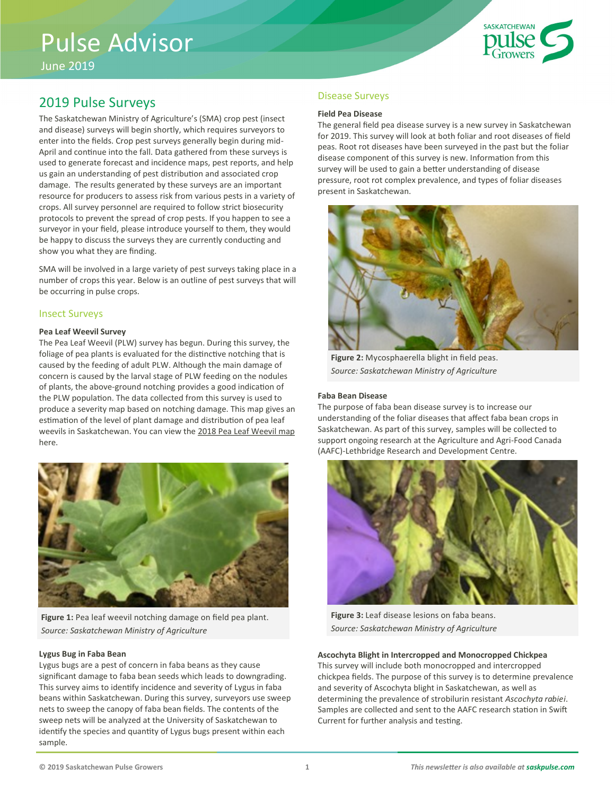# Pulse Advisor

June 2019



# 2019 Pulse Surveys

The Saskatchewan Ministry of Agriculture's (SMA) crop pest (insect and disease) surveys will begin shortly, which requires surveyors to enter into the fields. Crop pest surveys generally begin during mid-April and continue into the fall. Data gathered from these surveys is used to generate forecast and incidence maps, pest reports, and help us gain an understanding of pest distribution and associated crop damage. The results generated by these surveys are an important resource for producers to assess risk from various pests in a variety of crops. All survey personnel are required to follow strict biosecurity protocols to prevent the spread of crop pests. If you happen to see a surveyor in your field, please introduce yourself to them, they would be happy to discuss the surveys they are currently conducting and show you what they are finding.

SMA will be involved in a large variety of pest surveys taking place in a number of crops this year. Below is an outline of pest surveys that will be occurring in pulse crops.

### Insect Surveys

#### **Pea Leaf Weevil Survey**

The Pea Leaf Weevil (PLW) survey has begun. During this survey, the foliage of pea plants is evaluated for the distinctive notching that is caused by the feeding of adult PLW. Although the main damage of concern is caused by the larval stage of PLW feeding on the nodules of plants, the above-ground notching provides a good indication of the PLW population. The data collected from this survey is used to produce a severity map based on notching damage. This map gives an estimation of the level of plant damage and distribution of pea leaf weevils in Saskatchewan. You can view the [2018 Pea Leaf Weevil map](http://publications.gov.sk.ca/documents/20/109204-PeaLeafWeevil_2018%20FINAL.pdf) here.



Figure 1: Pea leaf weevil notching damage on field pea plant. *Source: Saskatchewan Ministry of Agriculture*

#### **Lygus Bug in Faba Bean**

Lygus bugs are a pest of concern in faba beans as they cause significant damage to faba bean seeds which leads to downgrading. This survey aims to identify incidence and severity of Lygus in faba beans within Saskatchewan. During this survey, surveyors use sweep nets to sweep the canopy of faba bean fields. The contents of the sweep nets will be analyzed at the University of Saskatchewan to identify the species and quantity of Lygus bugs present within each sample.

#### Disease Surveys

#### **Field Pea Disease**

The general field pea disease survey is a new survey in Saskatchewan for 2019. This survey will look at both foliar and root diseases of field peas. Root rot diseases have been surveyed in the past but the foliar disease component of this survey is new. Information from this survey will be used to gain a better understanding of disease pressure, root rot complex prevalence, and types of foliar diseases present in Saskatchewan.



**Figure 2:** Mycosphaerella blight in field peas. *Source: Saskatchewan Ministry of Agriculture*

#### **Faba Bean Disease**

The purpose of faba bean disease survey is to increase our understanding of the foliar diseases that affect faba bean crops in Saskatchewan. As part of this survey, samples will be collected to support ongoing research at the Agriculture and Agri-Food Canada (AAFC)-Lethbridge Research and Development Centre.



**Figure 3:** Leaf disease lesions on faba beans. *Source: Saskatchewan Ministry of Agriculture*

#### **Ascochyta Blight in Intercropped and Monocropped Chickpea**

This survey will include both monocropped and intercropped chickpea fields. The purpose of this survey is to determine prevalence and severity of Ascochyta blight in Saskatchewan, as well as determining the prevalence of strobilurin resistant *Ascochyta rabiei*. Samples are collected and sent to the AAFC research station in Swift Current for further analysis and testing.